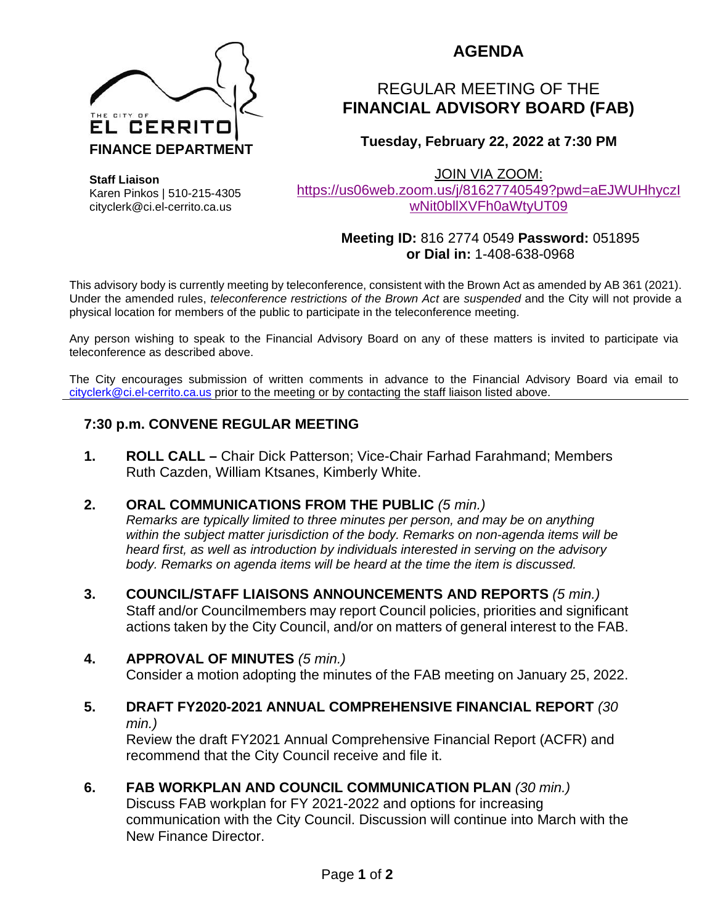

Karen Pinkos | 510-215-4305 cityclerk@ci.el-cerrito.ca.us

**Staff Liaison**

## **AGENDA**

# REGULAR MEETING OF THE **FINANCIAL ADVISORY BOARD (FAB)**

## **Tuesday, February 22, 2022 at 7:30 PM**

JOIN VIA ZOOM:

[https://us06web.zoom.us/j/81627740549?pwd=aEJWUHhyczI](https://us06web.zoom.us/j/81627740549?pwd=aEJWUHhyczIwNit0bllXVFh0aWtyUT09) [wNit0bllXVFh0aWtyUT09](https://us06web.zoom.us/j/81627740549?pwd=aEJWUHhyczIwNit0bllXVFh0aWtyUT09)

#### **Meeting ID:** 816 2774 0549 **Password:** 051895 **or Dial in:** 1-408-638-0968

This advisory body is currently meeting by teleconference, consistent with the Brown Act as amended by AB 361 (2021). Under the amended rules, *teleconference restrictions of the Brown Act* are *suspended* and the City will not provide a physical location for members of the public to participate in the teleconference meeting.

Any person wishing to speak to the Financial Advisory Board on any of these matters is invited to participate via teleconference as described above.

The City encourages submission of written comments in advance to the Financial Advisory Board via email to [cityclerk@ci.el-cerrito.ca.us](mailto:cityclerk@ci.el-cerrito.ca.us) prior to the meeting or by contacting the staff liaison listed above.

## **7:30 p.m. CONVENE REGULAR MEETING**

**1. ROLL CALL –** Chair Dick Patterson; Vice-Chair Farhad Farahmand; Members Ruth Cazden, William Ktsanes, Kimberly White.

## **2. ORAL COMMUNICATIONS FROM THE PUBLIC** *(5 min.)*

*Remarks are typically limited to three minutes per person, and may be on anything within the subject matter jurisdiction of the body. Remarks on non-agenda items will be heard first, as well as introduction by individuals interested in serving on the advisory body. Remarks on agenda items will be heard at the time the item is discussed.* 

**3. COUNCIL/STAFF LIAISONS ANNOUNCEMENTS AND REPORTS** *(5 min.)* Staff and/or Councilmembers may report Council policies, priorities and significant actions taken by the City Council, and/or on matters of general interest to the FAB.

## **4. APPROVAL OF MINUTES** *(5 min.)*

Consider a motion adopting the minutes of the FAB meeting on January 25, 2022.

#### **5. DRAFT FY2020-2021 ANNUAL COMPREHENSIVE FINANCIAL REPORT** *(30 min.)*

Review the draft FY2021 Annual Comprehensive Financial Report (ACFR) and recommend that the City Council receive and file it.

## **6. FAB WORKPLAN AND COUNCIL COMMUNICATION PLAN** *(30 min.)*

Discuss FAB workplan for FY 2021-2022 and options for increasing communication with the City Council. Discussion will continue into March with the New Finance Director.